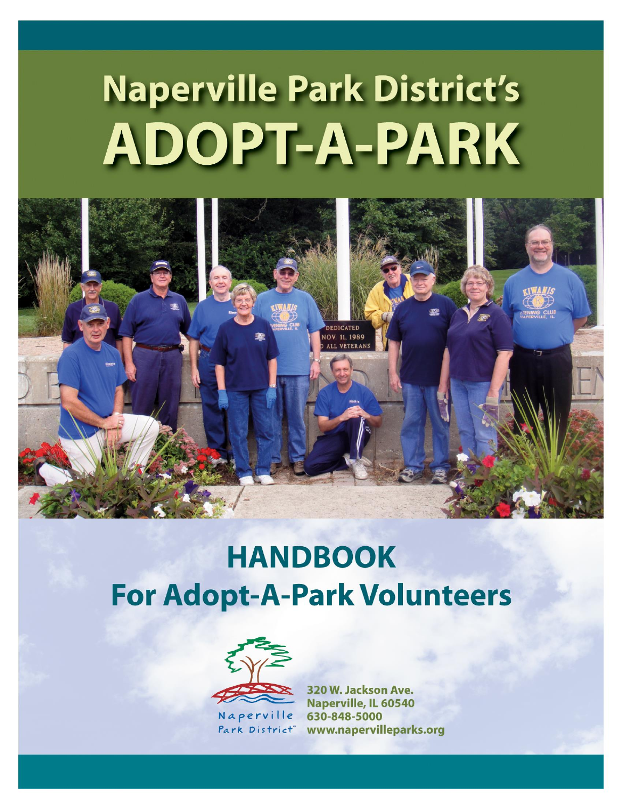# **Naperville Park District's** ADOPT-A-PARK



# **HANDBOOK For Adopt-A-Park Volunteers**



Park District"

320 W. Jackson Ave. **Naperville, IL 60540** 630-848-5000 www.napervilleparks.org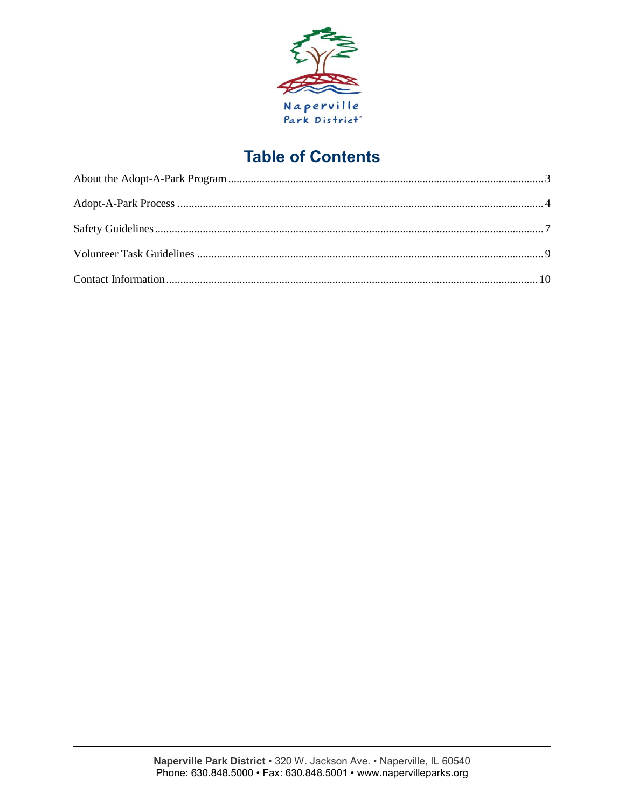

# **Table of Contents**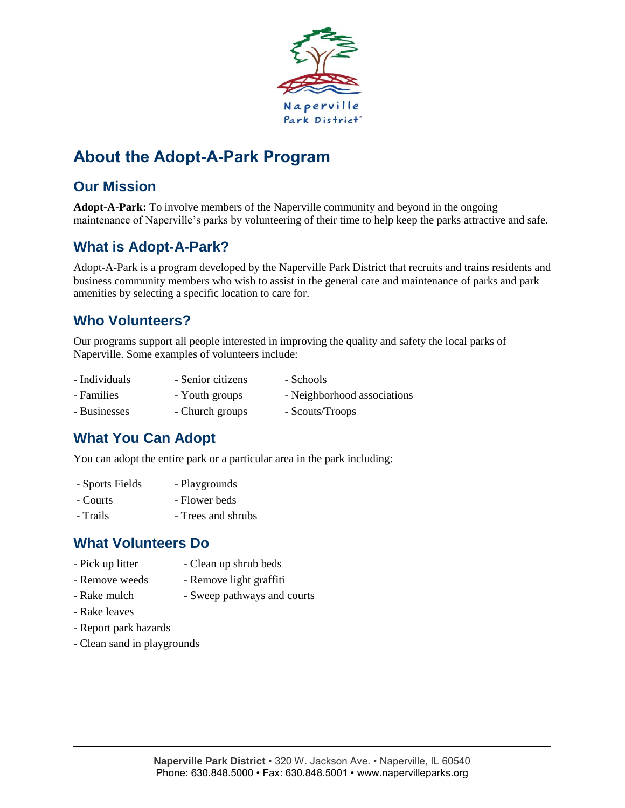

# <span id="page-2-0"></span>**About the Adopt-A-Park Program**

# **Our Mission**

**Adopt-A-Park:** To involve members of the Naperville community and beyond in the ongoing maintenance of Naperville's parks by volunteering of their time to help keep the parks attractive and safe.

# **What is Adopt-A-Park?**

Adopt-A-Park is a program developed by the Naperville Park District that recruits and trains residents and business community members who wish to assist in the general care and maintenance of parks and park amenities by selecting a specific location to care for.

### **Who Volunteers?**

Our programs support all people interested in improving the quality and safety the local parks of Naperville. Some examples of volunteers include:

- Individuals Senior citizens Schools
- Families Youth groups Neighborhood associations
- Businesses Church groups Scouts/Troops

# **What You Can Adopt**

You can adopt the entire park or a particular area in the park including:

- Sports Fields Playgrounds
- Courts Flower beds
- Trails  **Trees and shrubs**

# **What Volunteers Do**

- Pick up litter Clean up shrub beds
- Remove weeds Remove light graffiti
- Rake mulch Sweep pathways and courts
- Rake leaves
- Report park hazards
- Clean sand in playgrounds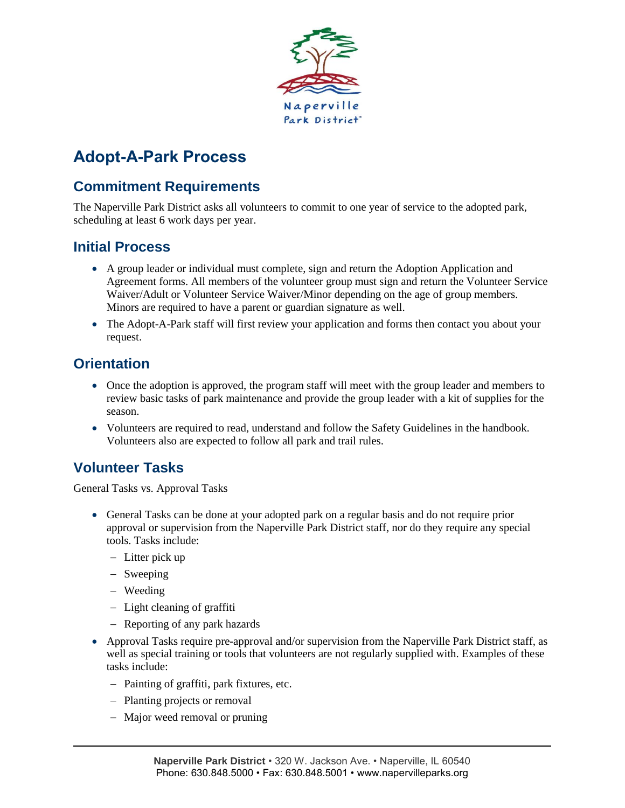

# <span id="page-3-0"></span>**Adopt-A-Park Process**

# **Commitment Requirements**

The Naperville Park District asks all volunteers to commit to one year of service to the adopted park, scheduling at least 6 work days per year.

#### **Initial Process**

- A group leader or individual must complete, sign and return the Adoption Application and Agreement forms. All members of the volunteer group must sign and return the Volunteer Service Waiver/Adult or Volunteer Service Waiver/Minor depending on the age of group members. Minors are required to have a parent or guardian signature as well.
- The Adopt-A-Park staff will first review your application and forms then contact you about your request.

# **Orientation**

- Once the adoption is approved, the program staff will meet with the group leader and members to review basic tasks of park maintenance and provide the group leader with a kit of supplies for the season.
- Volunteers are required to read, understand and follow the Safety Guidelines in the handbook. Volunteers also are expected to follow all park and trail rules.

# **Volunteer Tasks**

General Tasks vs. Approval Tasks

- General Tasks can be done at your adopted park on a regular basis and do not require prior approval or supervision from the Naperville Park District staff, nor do they require any special tools. Tasks include:
	- Litter pick up
	- Sweeping
	- Weeding
	- Light cleaning of graffiti
	- Reporting of any park hazards
- Approval Tasks require pre-approval and/or supervision from the Naperville Park District staff, as well as special training or tools that volunteers are not regularly supplied with. Examples of these tasks include:
	- Painting of graffiti, park fixtures, etc.
	- Planting projects or removal
	- Major weed removal or pruning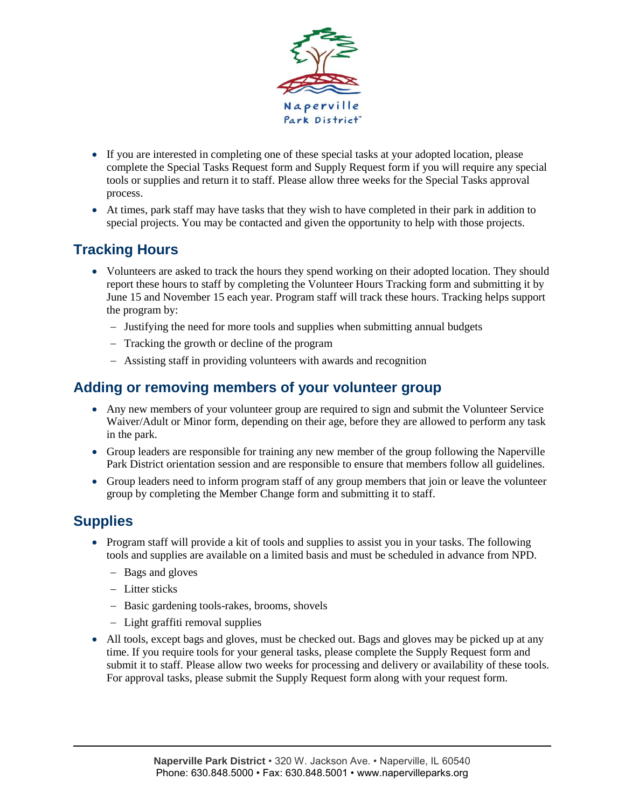

- If you are interested in completing one of these special tasks at your adopted location, please complete the Special Tasks Request form and Supply Request form if you will require any special tools or supplies and return it to staff. Please allow three weeks for the Special Tasks approval process.
- At times, park staff may have tasks that they wish to have completed in their park in addition to special projects. You may be contacted and given the opportunity to help with those projects.

# **Tracking Hours**

- Volunteers are asked to track the hours they spend working on their adopted location. They should report these hours to staff by completing the Volunteer Hours Tracking form and submitting it by June 15 and November 15 each year. Program staff will track these hours. Tracking helps support the program by:
	- Justifying the need for more tools and supplies when submitting annual budgets
	- Tracking the growth or decline of the program
	- Assisting staff in providing volunteers with awards and recognition

#### **Adding or removing members of your volunteer group**

- Any new members of your volunteer group are required to sign and submit the Volunteer Service Waiver/Adult or Minor form, depending on their age, before they are allowed to perform any task in the park.
- Group leaders are responsible for training any new member of the group following the Naperville Park District orientation session and are responsible to ensure that members follow all guidelines.
- Group leaders need to inform program staff of any group members that join or leave the volunteer group by completing the Member Change form and submitting it to staff.

# **Supplies**

- Program staff will provide a kit of tools and supplies to assist you in your tasks. The following tools and supplies are available on a limited basis and must be scheduled in advance from NPD.
	- Bags and gloves
	- Litter sticks
	- Basic gardening tools-rakes, brooms, shovels
	- Light graffiti removal supplies
- All tools, except bags and gloves, must be checked out. Bags and gloves may be picked up at any time. If you require tools for your general tasks, please complete the Supply Request form and submit it to staff. Please allow two weeks for processing and delivery or availability of these tools. For approval tasks, please submit the Supply Request form along with your request form.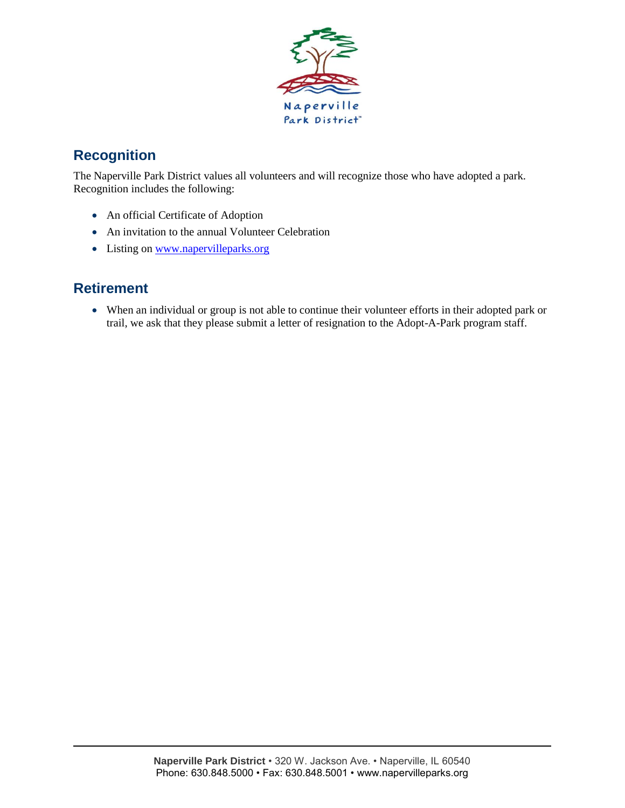

# **Recognition**

The Naperville Park District values all volunteers and will recognize those who have adopted a park. Recognition includes the following:

- An official Certificate of Adoption
- An invitation to the annual Volunteer Celebration
- Listing on [www.napervilleparks.org](http://www.napervilleparks.org/)

# **Retirement**

 When an individual or group is not able to continue their volunteer efforts in their adopted park or trail, we ask that they please submit a letter of resignation to the Adopt-A-Park program staff.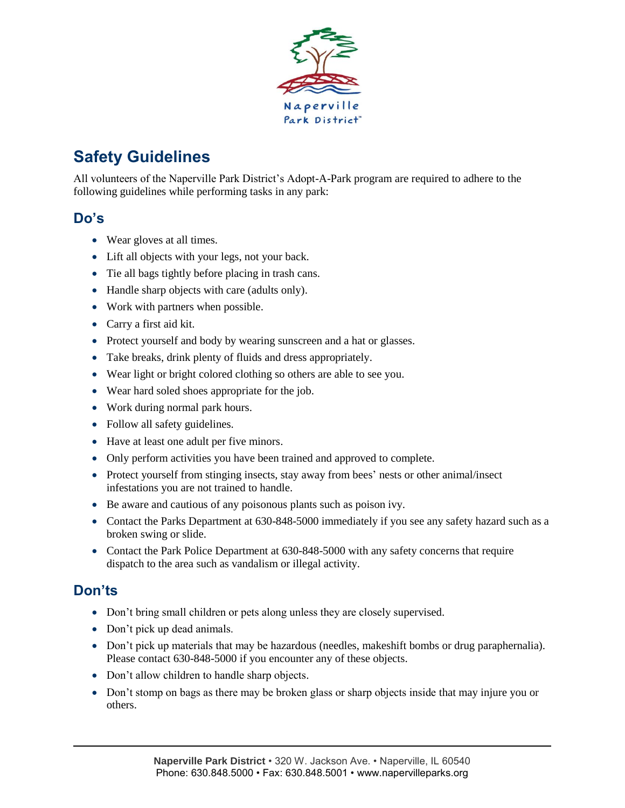

# <span id="page-6-0"></span>**Safety Guidelines**

All volunteers of the Naperville Park District's Adopt-A-Park program are required to adhere to the following guidelines while performing tasks in any park:

#### **Do's**

- Wear gloves at all times.
- Lift all objects with your legs, not your back.
- Tie all bags tightly before placing in trash cans.
- Handle sharp objects with care (adults only).
- Work with partners when possible.
- Carry a first aid kit.
- Protect yourself and body by wearing sunscreen and a hat or glasses.
- Take breaks, drink plenty of fluids and dress appropriately.
- Wear light or bright colored clothing so others are able to see you.
- Wear hard soled shoes appropriate for the job.
- Work during normal park hours.
- Follow all safety guidelines.
- Have at least one adult per five minors.
- Only perform activities you have been trained and approved to complete.
- Protect yourself from stinging insects, stay away from bees' nests or other animal/insect infestations you are not trained to handle.
- Be aware and cautious of any poisonous plants such as poison ivy.
- Contact the Parks Department at 630-848-5000 immediately if you see any safety hazard such as a broken swing or slide.
- Contact the Park Police Department at 630-848-5000 with any safety concerns that require dispatch to the area such as vandalism or illegal activity.

# **Don'ts**

- Don't bring small children or pets along unless they are closely supervised.
- Don't pick up dead animals.
- Don't pick up materials that may be hazardous (needles, makeshift bombs or drug paraphernalia). Please contact 630-848-5000 if you encounter any of these objects.
- Don't allow children to handle sharp objects.
- Don't stomp on bags as there may be broken glass or sharp objects inside that may injure you or others.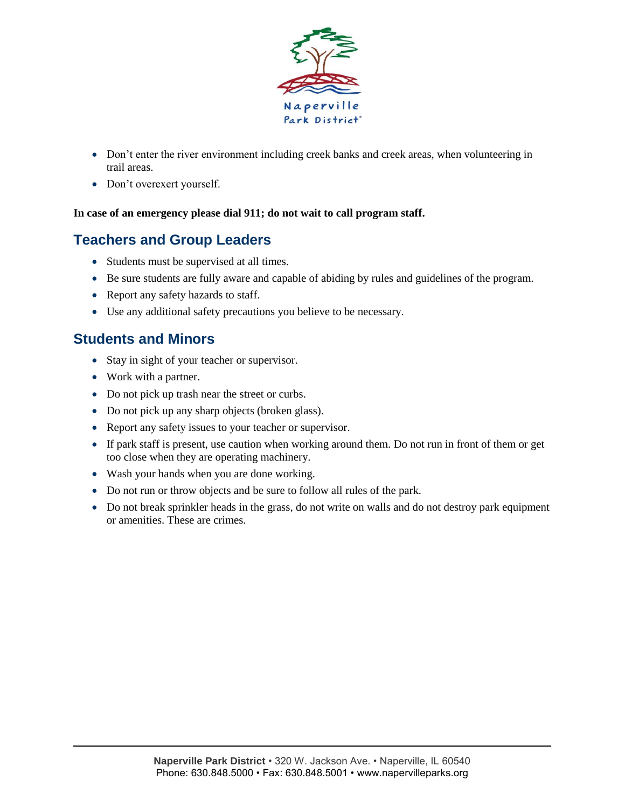

- Don't enter the river environment including creek banks and creek areas, when volunteering in trail areas.
- Don't overexert yourself.

#### **In case of an emergency please dial 911; do not wait to call program staff.**

### **Teachers and Group Leaders**

- Students must be supervised at all times.
- Be sure students are fully aware and capable of abiding by rules and guidelines of the program.
- Report any safety hazards to staff.
- Use any additional safety precautions you believe to be necessary.

#### **Students and Minors**

- Stay in sight of your teacher or supervisor.
- Work with a partner.
- Do not pick up trash near the street or curbs.
- Do not pick up any sharp objects (broken glass).
- Report any safety issues to your teacher or supervisor.
- If park staff is present, use caution when working around them. Do not run in front of them or get too close when they are operating machinery.
- Wash your hands when you are done working.
- Do not run or throw objects and be sure to follow all rules of the park.
- Do not break sprinkler heads in the grass, do not write on walls and do not destroy park equipment or amenities. These are crimes.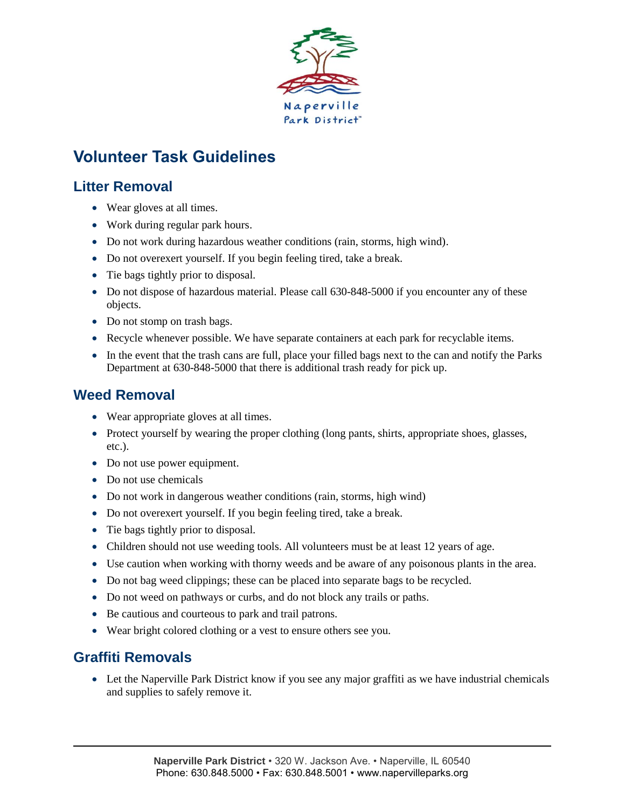

# <span id="page-8-0"></span>**Volunteer Task Guidelines**

# **Litter Removal**

- Wear gloves at all times.
- Work during regular park hours.
- Do not work during hazardous weather conditions (rain, storms, high wind).
- Do not overexert yourself. If you begin feeling tired, take a break.
- Tie bags tightly prior to disposal.
- Do not dispose of hazardous material. Please call 630-848-5000 if you encounter any of these objects.
- Do not stomp on trash bags.
- Recycle whenever possible. We have separate containers at each park for recyclable items.
- In the event that the trash cans are full, place your filled bags next to the can and notify the Parks Department at 630-848-5000 that there is additional trash ready for pick up.

# **Weed Removal**

- Wear appropriate gloves at all times.
- Protect yourself by wearing the proper clothing (long pants, shirts, appropriate shoes, glasses, etc.).
- Do not use power equipment.
- Do not use chemicals
- Do not work in dangerous weather conditions (rain, storms, high wind)
- Do not overexert yourself. If you begin feeling tired, take a break.
- Tie bags tightly prior to disposal.
- Children should not use weeding tools. All volunteers must be at least 12 years of age.
- Use caution when working with thorny weeds and be aware of any poisonous plants in the area.
- Do not bag weed clippings; these can be placed into separate bags to be recycled.
- Do not weed on pathways or curbs, and do not block any trails or paths.
- Be cautious and courteous to park and trail patrons.
- Wear bright colored clothing or a vest to ensure others see you.

### **Graffiti Removals**

 Let the Naperville Park District know if you see any major graffiti as we have industrial chemicals and supplies to safely remove it.